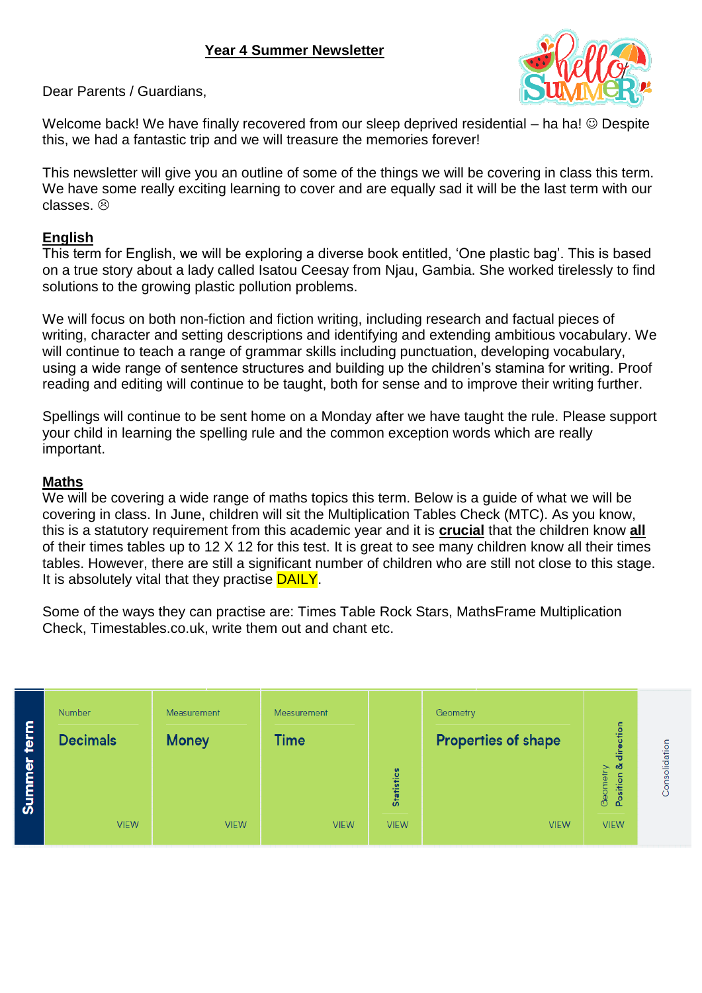

Dear Parents / Guardians,

Welcome back! We have finally recovered from our sleep deprived residential – ha ha!  $\odot$  Despite this, we had a fantastic trip and we will treasure the memories forever!

This newsletter will give you an outline of some of the things we will be covering in class this term. We have some really exciting learning to cover and are equally sad it will be the last term with our classes. @

#### **English**

This term for English, we will be exploring a diverse book entitled, 'One plastic bag'. This is based on a true story about a lady called Isatou Ceesay from Njau, Gambia. She worked tirelessly to find solutions to the growing plastic pollution problems.

We will focus on both non-fiction and fiction writing, including research and factual pieces of writing, character and setting descriptions and identifying and extending ambitious vocabulary. We will continue to teach a range of grammar skills including punctuation, developing vocabulary, using a wide range of sentence structures and building up the children's stamina for writing. Proof reading and editing will continue to be taught, both for sense and to improve their writing further.

Spellings will continue to be sent home on a Monday after we have taught the rule. Please support your child in learning the spelling rule and the common exception words which are really important.

#### **Maths**

We will be covering a wide range of maths topics this term. Below is a guide of what we will be covering in class. In June, children will sit the Multiplication Tables Check (MTC). As you know, this is a statutory requirement from this academic year and it is **crucial** that the children know **all** of their times tables up to 12 X 12 for this test. It is great to see many children know all their times tables. However, there are still a significant number of children who are still not close to this stage. It is absolutely vital that they practise **DAILY**.

Some of the ways they can practise are: Times Table Rock Stars, MathsFrame Multiplication Check, Timestables.co.uk, write them out and chant etc.

| ٤<br>►<br>₽<br>$\overline{\bullet}$<br>c<br>အီ | <b>Number</b><br><b>Decimals</b> | Measurement<br><b>Money</b> | Measurement<br><b>Time</b> | <b>Statistics</b> | Geometry<br><b>Properties of shape</b> | tion<br>흉<br>- ಎರ<br>Geometry<br>Position | Consolidation |
|------------------------------------------------|----------------------------------|-----------------------------|----------------------------|-------------------|----------------------------------------|-------------------------------------------|---------------|
|                                                | <b>VIEW</b>                      | <b>VIEW</b>                 | <b>VIEW</b>                | <b>VIEW</b>       | <b>VIEW</b>                            | <b>VIEW</b>                               |               |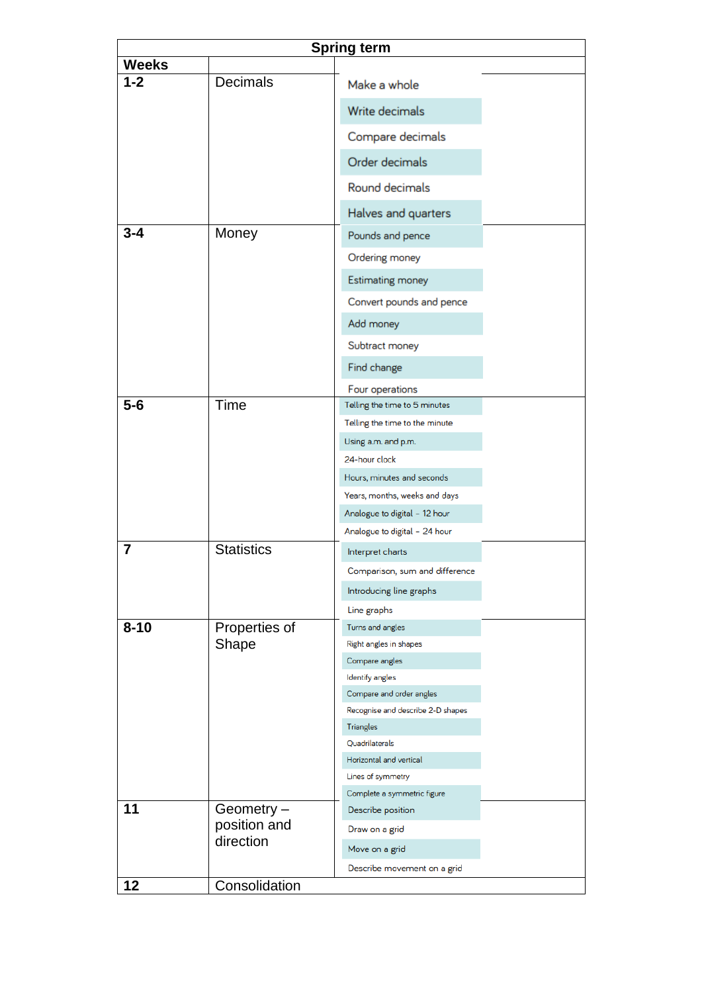| Spring term  |                   |                                          |  |  |  |  |  |  |
|--------------|-------------------|------------------------------------------|--|--|--|--|--|--|
| <b>Weeks</b> |                   |                                          |  |  |  |  |  |  |
| $1 - 2$      | <b>Decimals</b>   | Make a whole                             |  |  |  |  |  |  |
|              |                   | Write decimals                           |  |  |  |  |  |  |
|              |                   | Compare decimals                         |  |  |  |  |  |  |
|              |                   | Order decimals                           |  |  |  |  |  |  |
|              |                   | Round decimals                           |  |  |  |  |  |  |
|              |                   | Halves and quarters                      |  |  |  |  |  |  |
| $3 - 4$      | Money             | Pounds and pence                         |  |  |  |  |  |  |
|              |                   | Ordering money                           |  |  |  |  |  |  |
|              |                   | <b>Estimating money</b>                  |  |  |  |  |  |  |
|              |                   | Convert pounds and pence                 |  |  |  |  |  |  |
|              |                   | Add money                                |  |  |  |  |  |  |
|              |                   | Subtract money                           |  |  |  |  |  |  |
|              |                   | Find change                              |  |  |  |  |  |  |
|              |                   | Four operations                          |  |  |  |  |  |  |
| $5-6$        | Time              | Telling the time to 5 minutes            |  |  |  |  |  |  |
|              |                   | Telling the time to the minute           |  |  |  |  |  |  |
|              |                   | Using a.m. and p.m.                      |  |  |  |  |  |  |
|              |                   | 24-hour clock                            |  |  |  |  |  |  |
|              |                   | Hours, minutes and seconds               |  |  |  |  |  |  |
|              |                   | Years, months, weeks and days            |  |  |  |  |  |  |
|              |                   | Analogue to digital - 12 hour            |  |  |  |  |  |  |
|              |                   | Analogue to digital - 24 hour            |  |  |  |  |  |  |
| 7            | <b>Statistics</b> | Interpret charts                         |  |  |  |  |  |  |
|              |                   | Comparison, sum and difference           |  |  |  |  |  |  |
|              |                   | Introducing line graphs                  |  |  |  |  |  |  |
|              |                   | Line graphs                              |  |  |  |  |  |  |
| $8 - 10$     | Properties of     | Turns and angles                         |  |  |  |  |  |  |
|              | Shape             | Right angles in shapes                   |  |  |  |  |  |  |
|              |                   | Compare angles<br><b>Identify angles</b> |  |  |  |  |  |  |
|              |                   | Compare and order angles                 |  |  |  |  |  |  |
|              |                   | Recognise and describe 2-D shapes        |  |  |  |  |  |  |
|              |                   | <b>Triangles</b>                         |  |  |  |  |  |  |
|              |                   | Quadrilaterals                           |  |  |  |  |  |  |
|              |                   | Horizontal and vertical                  |  |  |  |  |  |  |
|              |                   | Lines of symmetry                        |  |  |  |  |  |  |
|              |                   | Complete a symmetric figure              |  |  |  |  |  |  |
| 11           | Geometry -        | Describe position                        |  |  |  |  |  |  |
|              | position and      | Draw on a grid                           |  |  |  |  |  |  |
|              | direction         | Move on a grid                           |  |  |  |  |  |  |
|              |                   | Describe movement on a grid              |  |  |  |  |  |  |
| 12           | Consolidation     |                                          |  |  |  |  |  |  |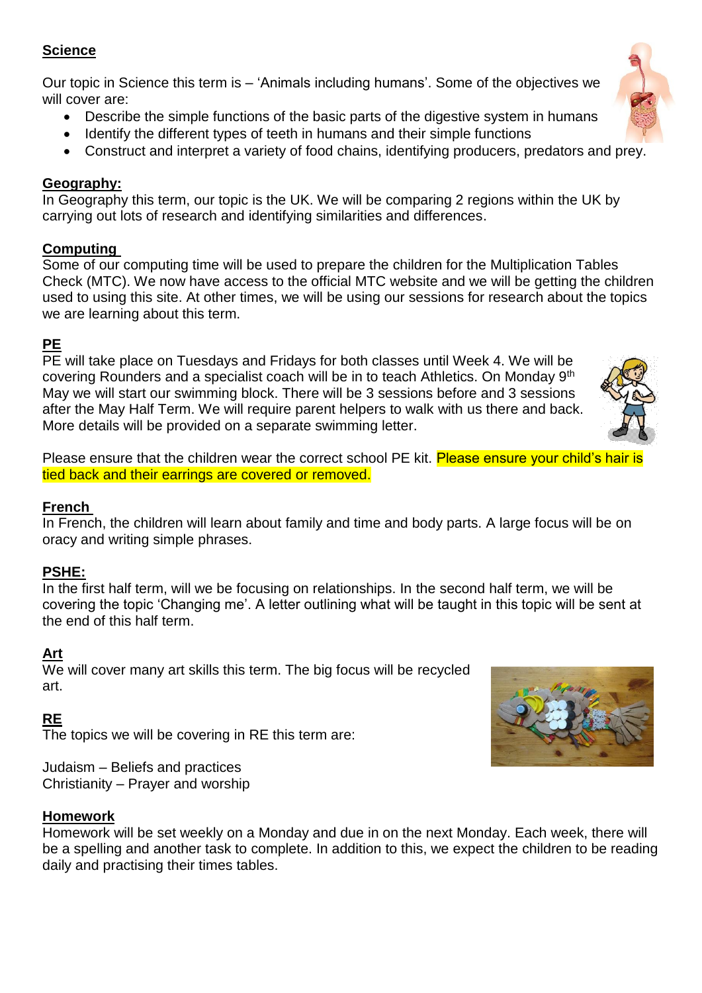### **Science**

Our topic in Science this term is – 'Animals including humans'. Some of the objectives we will cover are:

- Describe the simple functions of the basic parts of the digestive system in humans
- Identify the different types of teeth in humans and their simple functions
- Construct and interpret a variety of food chains, identifying producers, predators and prey.

# **Geography:**

In Geography this term, our topic is the UK. We will be comparing 2 regions within the UK by carrying out lots of research and identifying similarities and differences.

### **Computing**

Some of our computing time will be used to prepare the children for the Multiplication Tables Check (MTC). We now have access to the official MTC website and we will be getting the children used to using this site. At other times, we will be using our sessions for research about the topics we are learning about this term.

# **PE**

PE will take place on Tuesdays and Fridays for both classes until Week 4. We will be covering Rounders and a specialist coach will be in to teach Athletics. On Monday 9th May we will start our swimming block. There will be 3 sessions before and 3 sessions after the May Half Term. We will require parent helpers to walk with us there and back. More details will be provided on a separate swimming letter.

Please ensure that the children wear the correct school PE kit. Please ensure your child's hair is tied back and their earrings are covered or removed.

# **French**

In French, the children will learn about family and time and body parts. A large focus will be on oracy and writing simple phrases.

# **PSHE:**

In the first half term, will we be focusing on relationships. In the second half term, we will be covering the topic 'Changing me'. A letter outlining what will be taught in this topic will be sent at the end of this half term.

# **Art**

We will cover many art skills this term. The big focus will be recycled art.

# **RE**

The topics we will be covering in RE this term are:

Judaism – Beliefs and practices Christianity – Prayer and worship

#### **Homework**

Homework will be set weekly on a Monday and due in on the next Monday. Each week, there will be a spelling and another task to complete. In addition to this, we expect the children to be reading daily and practising their times tables.